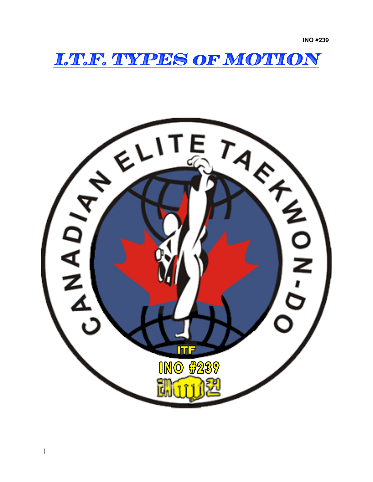**INO #239**

*I.T.F. TYPES of MOTION* 

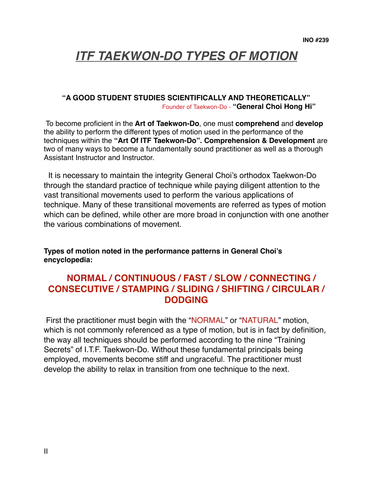# *ITF TAEKWON-DO TYPES OF MOTION*

### **"A GOOD STUDENT STUDIES SCIENTIFICALLY AND THEORETICALLY"** Founder of Taekwon-Do - **"General Choi Hong Hi"**

 To become proficient in the **Art of Taekwon-Do**, one must **comprehend** and **develop**  the ability to perform the different types of motion used in the performance of the techniques within the **"Art Of ITF Taekwon-Do". Comprehension & Development** are two of many ways to become a fundamentally sound practitioner as well as a thorough Assistant Instructor and Instructor.

 It is necessary to maintain the integrity General Choi's orthodox Taekwon-Do through the standard practice of technique while paying diligent attention to the vast transitional movements used to perform the various applications of technique. Many of these transitional movements are referred as types of motion which can be defined, while other are more broad in conjunction with one another the various combinations of movement.

**Types of motion noted in the performance patterns in General Choi's encyclopedia:**

# **NORMAL / CONTINUOUS / FAST / SLOW / CONNECTING / CONSECUTIVE / STAMPING / SLIDING / SHIFTING / CIRCULAR / DODGING**

First the practitioner must begin with the "NORMAL" or "NATURAL" motion, which is not commonly referenced as a type of motion, but is in fact by definition, the way all techniques should be performed according to the nine "Training Secrets" of I.T.F. Taekwon-Do. Without these fundamental principals being employed, movements become stiff and ungraceful. The practitioner must develop the ability to relax in transition from one technique to the next.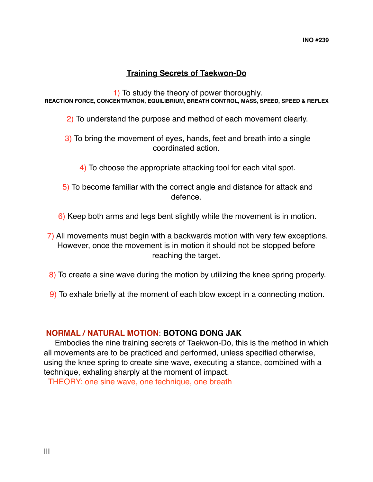# **Training Secrets of Taekwon-Do**

 1) To study the theory of power thoroughly. **REACTION FORCE, CONCENTRATION, EQUILIBRIUM, BREATH CONTROL, MASS, SPEED, SPEED & REFLEX**

- 2) To understand the purpose and method of each movement clearly.
- 3) To bring the movement of eyes, hands, feet and breath into a single coordinated action.
	- 4) To choose the appropriate attacking tool for each vital spot.
- 5) To become familiar with the correct angle and distance for attack and defence.
- 6) Keep both arms and legs bent slightly while the movement is in motion.
- 7) All movements must begin with a backwards motion with very few exceptions. However, once the movement is in motion it should not be stopped before reaching the target.
- 8) To create a sine wave during the motion by utilizing the knee spring properly.
- 9) To exhale briefly at the moment of each blow except in a connecting motion.

### **NORMAL / NATURAL MOTION**: **BOTONG DONG JAK**

 Embodies the nine training secrets of Taekwon-Do, this is the method in which all movements are to be practiced and performed, unless specified otherwise, using the knee spring to create sine wave, executing a stance, combined with a technique, exhaling sharply at the moment of impact.

THEORY: one sine wave, one technique, one breath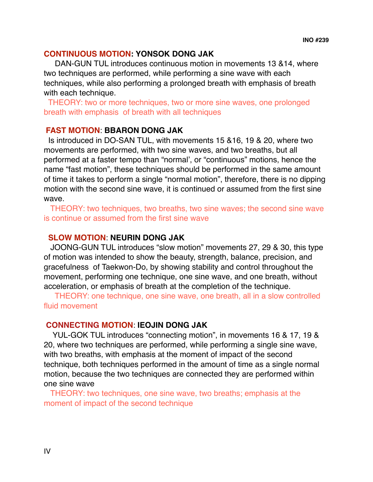### **CONTINUOUS MOTION: YONSOK DONG JAK**

DAN-GUN TUL introduces continuous motion in movements 13 &14, where two techniques are performed, while performing a sine wave with each techniques, while also performing a prolonged breath with emphasis of breath with each technique.

 THEORY: two or more techniques, two or more sine waves, one prolonged breath with emphasis of breath with all techniques

### **FAST MOTION**: **BBARON DONG JAK**

 Is introduced in DO-SAN TUL, with movements 15 &16, 19 & 20, where two movements are performed, with two sine waves, and two breaths, but all performed at a faster tempo than "normal', or "continuous" motions, hence the name "fast motion", these techniques should be performed in the same amount of time it takes to perform a single "normal motion", therefore, there is no dipping motion with the second sine wave, it is continued or assumed from the first sine wave.

 THEORY: two techniques, two breaths, two sine waves; the second sine wave is continue or assumed from the first sine wave

## **SLOW MOTION**: **NEURIN DONG JAK**

 JOONG-GUN TUL introduces "slow motion" movements 27, 29 & 30, this type of motion was intended to show the beauty, strength, balance, precision, and gracefulness of Taekwon-Do, by showing stability and control throughout the movement, performing one technique, one sine wave, and one breath, without acceleration, or emphasis of breath at the completion of the technique.

 THEORY: one technique, one sine wave, one breath, all in a slow controlled fluid movement

### **CONNECTING MOTION**: **IEOJIN DONG JAK**

 YUL-GOK TUL introduces "connecting motion", in movements 16 & 17, 19 & 20, where two techniques are performed, while performing a single sine wave, with two breaths, with emphasis at the moment of impact of the second technique, both techniques performed in the amount of time as a single normal motion, because the two techniques are connected they are performed within one sine wave

 THEORY: two techniques, one sine wave, two breaths; emphasis at the moment of impact of the second technique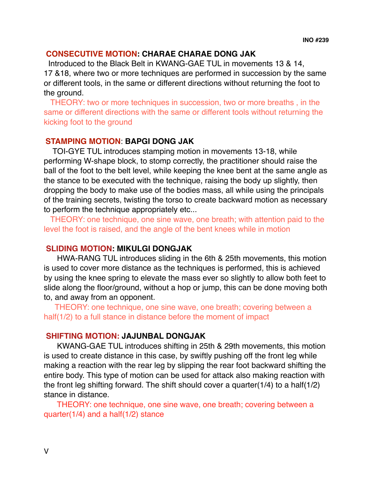### **CONSECUTIVE MOTION: CHARAE CHARAE DONG JAK**

Introduced to the Black Belt in KWANG-GAE TUL in movements 13 & 14, 17 &18, where two or more techniques are performed in succession by the same or different tools, in the same or different directions without returning the foot to the ground.

 THEORY: two or more techniques in succession, two or more breaths , in the same or different directions with the same or different tools without returning the kicking foot to the ground

### **STAMPING MOTION**: **BAPGI DONG JAK**

 TOI-GYE TUL introduces stamping motion in movements 13-18, while performing W-shape block, to stomp correctly, the practitioner should raise the ball of the foot to the belt level, while keeping the knee bent at the same angle as the stance to be executed with the technique, raising the body up slightly, then dropping the body to make use of the bodies mass, all while using the principals of the training secrets, twisting the torso to create backward motion as necessary to perform the technique appropriately etc...

 THEORY: one technique, one sine wave, one breath; with attention paid to the level the foot is raised, and the angle of the bent knees while in motion

### **SLIDING MOTION: MIKULGI DONGJAK**

HWA-RANG TUL introduces sliding in the 6th & 25th movements, this motion is used to cover more distance as the techniques is performed, this is achieved by using the knee spring to elevate the mass ever so slightly to allow both feet to slide along the floor/ground, without a hop or jump, this can be done moving both to, and away from an opponent.

 THEORY: one technique, one sine wave, one breath; covering between a half(1/2) to a full stance in distance before the moment of impact

#### **SHIFTING MOTION: JAJUNBAL DONGJAK**

KWANG-GAE TUL introduces shifting in 25th & 29th movements, this motion is used to create distance in this case, by swiftly pushing off the front leg while making a reaction with the rear leg by slipping the rear foot backward shifting the entire body. This type of motion can be used for attack also making reaction with the front leg shifting forward. The shift should cover a quarter(1/4) to a half(1/2) stance in distance.

 THEORY: one technique, one sine wave, one breath; covering between a quarter(1/4) and a half(1/2) stance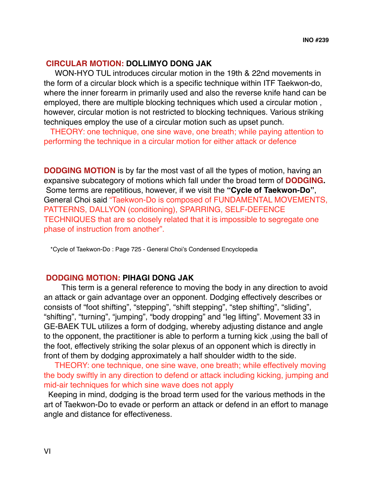#### **CIRCULAR MOTION: DOLLIMYO DONG JAK**

WON-HYO TUL introduces circular motion in the 19th & 22nd movements in the form of a circular block which is a specific technique within ITF Taekwon-do, where the inner forearm in primarily used and also the reverse knife hand can be employed, there are multiple blocking techniques which used a circular motion , however, circular motion is not restricted to blocking techniques. Various striking techniques employ the use of a circular motion such as upset punch.

 THEORY: one technique, one sine wave, one breath; while paying attention to performing the technique in a circular motion for either attack or defence

**DODGING MOTION** is by far the most vast of all the types of motion, having an expansive subcategory of motions which fall under the broad term of **DODGING.** Some terms are repetitious, however, if we visit the **"Cycle of Taekwon-Do"**, General Choi said "Taekwon-Do is composed of FUNDAMENTAL MOVEMENTS, PATTERNS, DALLYON (conditioning), SPARRING, SELF-DEFENCE TECHNIQUES that are so closely related that it is impossible to segregate one phase of instruction from another".

\*Cycle of Taekwon-Do : Page 725 - General Choi's Condensed Encyclopedia

### **DODGING MOTION: PIHAGI DONG JAK**

This term is a general reference to moving the body in any direction to avoid an attack or gain advantage over an opponent. Dodging effectively describes or consists of "foot shifting", "stepping", "shift stepping", "step shifting", "sliding", "shifting", "turning", "jumping", "body dropping" and "leg lifting". Movement 33 in GE-BAEK TUL utilizes a form of dodging, whereby adjusting distance and angle to the opponent, the practitioner is able to perform a turning kick ,using the ball of the foot, effectively striking the solar plexus of an opponent which is directly in front of them by dodging approximately a half shoulder width to the side.

 THEORY: one technique, one sine wave, one breath; while effectively moving the body swiftly in any direction to defend or attack including kicking, jumping and mid-air techniques for which sine wave does not apply

 Keeping in mind, dodging is the broad term used for the various methods in the art of Taekwon-Do to evade or perform an attack or defend in an effort to manage angle and distance for effectiveness.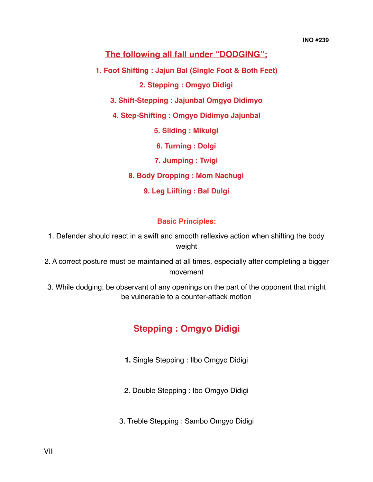# **The following all fall under "DODGING";**

**1. Foot Shifting : Jajun Bal (Single Foot & Both Feet)**

**2. Stepping : Omgyo Didigi**

**3. Shift-Stepping : Jajunbal Omgyo Didimyo** 

**4. Step-Shifting : Omgyo Didimyo Jajunbal**

**5. Sliding : Mikulgi**

**6. Turning : Dolgi**

**7. Jumping : Twigi**

**8. Body Dropping : Mom Nachugi**

**9. Leg Liifting : Bal Dulgi**

#### **Basic Principles:**

1. Defender should react in a swift and smooth reflexive action when shifting the body weight

2. A correct posture must be maintained at all times, especially after completing a bigger movement

3. While dodging, be observant of any openings on the part of the opponent that might be vulnerable to a counter-attack motion

# **Stepping : Omgyo Didigi**

**1.** Single Stepping : Ilbo Omgyo Didigi

2. Double Stepping : Ibo Omgyo Didigi

3. Treble Stepping : Sambo Omgyo Didigi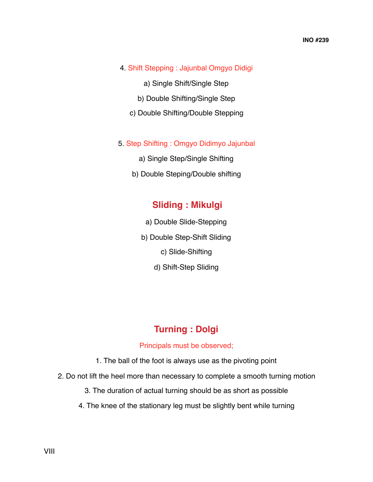- 4. Shift Stepping : Jajunbal Omgyo Didigi
	- a) Single Shift/Single Step
	- b) Double Shifting/Single Step
	- c) Double Shifting/Double Stepping
- 5. Step Shifting : Omgyo Didimyo Jajunbal
	- a) Single Step/Single Shifting
	- b) Double Steping/Double shifting

# **Sliding : Mikulgi**

- a) Double Slide-Stepping
- b) Double Step-Shift Sliding
	- c) Slide-Shifting
	- d) Shift-Step Sliding

# **Turning : Dolgi**

#### Principals must be observed;

- 1. The ball of the foot is always use as the pivoting point
- 2. Do not lift the heel more than necessary to complete a smooth turning motion
	- 3. The duration of actual turning should be as short as possible
	- 4. The knee of the stationary leg must be slightly bent while turning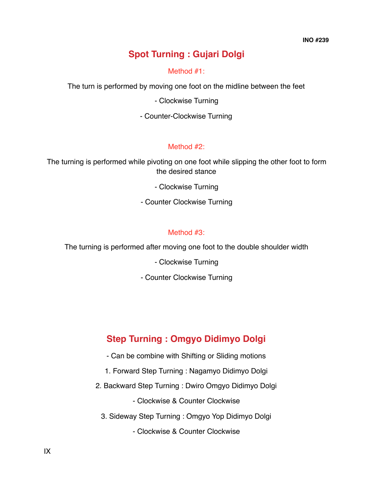# **Spot Turning : Gujari Dolgi**

#### Method #1:

The turn is performed by moving one foot on the midline between the feet

⁃ Clockwise Turning

⁃ Counter-Clockwise Turning

### Method #2:

The turning is performed while pivoting on one foot while slipping the other foot to form the desired stance

⁃ Clockwise Turning

⁃ Counter Clockwise Turning

### Method #3:

The turning is performed after moving one foot to the double shoulder width

⁃ Clockwise Turning

⁃ Counter Clockwise Turning

# **Step Turning : Omgyo Didimyo Dolgi**

- ⁃ Can be combine with Shifting or Sliding motions
- 1. Forward Step Turning : Nagamyo Didimyo Dolgi
- 2. Backward Step Turning : Dwiro Omgyo Didimyo Dolgi

⁃ Clockwise & Counter Clockwise

3. Sideway Step Turning : Omgyo Yop Didimyo Dolgi

⁃ Clockwise & Counter Clockwise